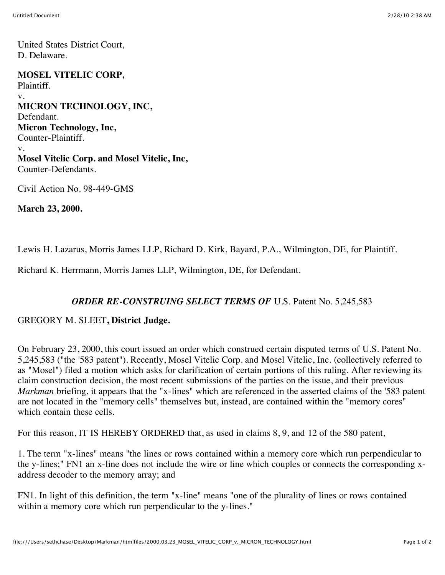United States District Court, D. Delaware.

**MOSEL VITELIC CORP,** Plaintiff. v. **MICRON TECHNOLOGY, INC,** Defendant. **Micron Technology, Inc,** Counter-Plaintiff. v. **Mosel Vitelic Corp. and Mosel Vitelic, Inc,** Counter-Defendants.

Civil Action No. 98-449-GMS

**March 23, 2000.**

Lewis H. Lazarus, Morris James LLP, Richard D. Kirk, Bayard, P.A., Wilmington, DE, for Plaintiff.

Richard K. Herrmann, Morris James LLP, Wilmington, DE, for Defendant.

## *ORDER RE-CONSTRUING SELECT TERMS OF* U.S. Patent No. 5,245,583

## GREGORY M. SLEET**, District Judge.**

On February 23, 2000, this court issued an order which construed certain disputed terms of U.S. Patent No. 5,245,583 ("the '583 patent"). Recently, Mosel Vitelic Corp. and Mosel Vitelic, Inc. (collectively referred to as "Mosel") filed a motion which asks for clarification of certain portions of this ruling. After reviewing its claim construction decision, the most recent submissions of the parties on the issue, and their previous *Markman* briefing, it appears that the "x-lines" which are referenced in the asserted claims of the '583 patent are not located in the "memory cells" themselves but, instead, are contained within the "memory cores" which contain these cells.

For this reason, IT IS HEREBY ORDERED that, as used in claims 8, 9, and 12 of the 580 patent,

1. The term "x-lines" means "the lines or rows contained within a memory core which run perpendicular to the y-lines;" FN1 an x-line does not include the wire or line which couples or connects the corresponding xaddress decoder to the memory array; and

FN1. In light of this definition, the term "x-line" means "one of the plurality of lines or rows contained within a memory core which run perpendicular to the y-lines."